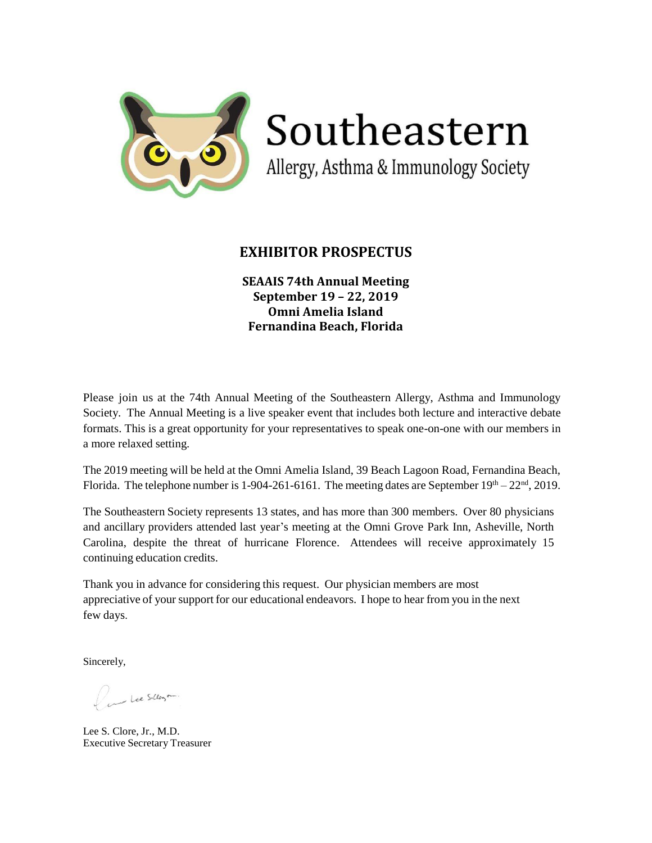

Southeastern

Allergy, Asthma & Immunology Society

## **EXHIBITOR PROSPECTUS**

**SEAAIS 74th Annual Meeting September 19 – 22, 2019 Omni Amelia Island Fernandina Beach, Florida** 

Please join us at the 74th Annual Meeting of the Southeastern Allergy, Asthma and Immunology Society. The Annual Meeting is a live speaker event that includes both lecture and interactive debate formats. This is a great opportunity for your representatives to speak one-on-one with our members in a more relaxed setting.

The 2019 meeting will be held at the Omni Amelia Island, 39 Beach Lagoon Road, Fernandina Beach, Florida. The telephone number is 1-904-261-6161. The meeting dates are September  $19<sup>th</sup> - 22<sup>nd</sup>$ , 2019.

The Southeastern Society represents 13 states, and has more than 300 members. Over 80 physicians and ancillary providers attended last year's meeting at the Omni Grove Park Inn, Asheville, North Carolina, despite the threat of hurricane Florence. Attendees will receive approximately 15 continuing education credits.

Thank you in advance for considering this request. Our physician members are most appreciative of your support for our educational endeavors. I hope to hear from you in the next few days.

Sincerely,

Pine Lee Silloyon

Lee S. Clore, Jr., M.D. Executive Secretary Treasurer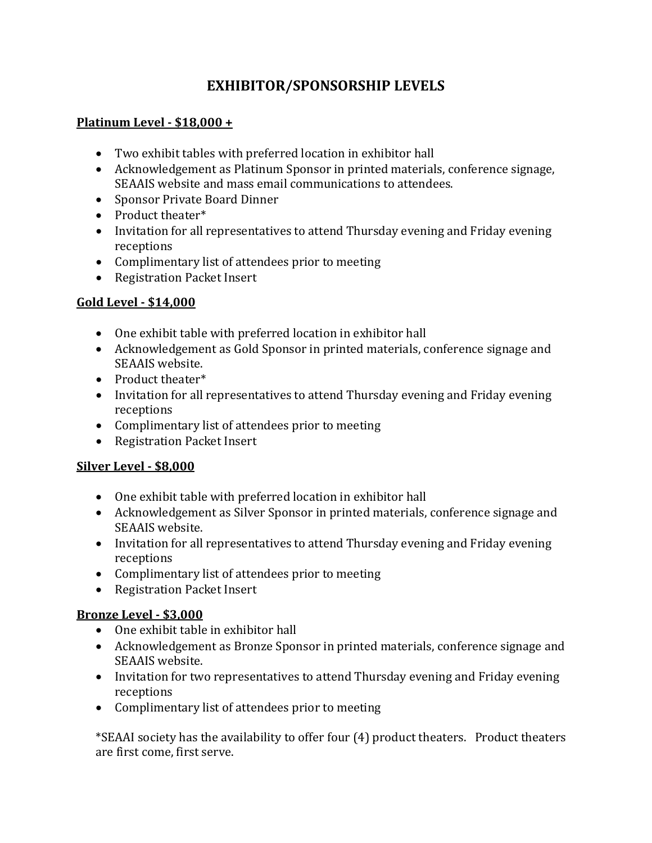# **EXHIBITOR/SPONSORSHIP LEVELS**

# **Platinum Level - \$18,000 +**

- Two exhibit tables with preferred location in exhibitor hall
- Acknowledgement as Platinum Sponsor in printed materials, conference signage, SEAAIS website and mass email communications to attendees.
- Sponsor Private Board Dinner
- Product theater\*
- Invitation for all representatives to attend Thursday evening and Friday evening receptions
- Complimentary list of attendees prior to meeting
- Registration Packet Insert

# **Gold Level - \$14,000**

- One exhibit table with preferred location in exhibitor hall
- Acknowledgement as Gold Sponsor in printed materials, conference signage and SEAAIS website.
- Product theater\*
- Invitation for all representatives to attend Thursday evening and Friday evening receptions
- Complimentary list of attendees prior to meeting
- Registration Packet Insert

# **Silver Level - \$8,000**

- One exhibit table with preferred location in exhibitor hall
- Acknowledgement as Silver Sponsor in printed materials, conference signage and SEAAIS website.
- Invitation for all representatives to attend Thursday evening and Friday evening receptions
- Complimentary list of attendees prior to meeting
- Registration Packet Insert

# **Bronze Level - \$3,000**

- One exhibit table in exhibitor hall
- Acknowledgement as Bronze Sponsor in printed materials, conference signage and SEAAIS website.
- Invitation for two representatives to attend Thursday evening and Friday evening receptions
- Complimentary list of attendees prior to meeting

\*SEAAI society has the availability to offer four (4) product theaters. Product theaters are first come, first serve.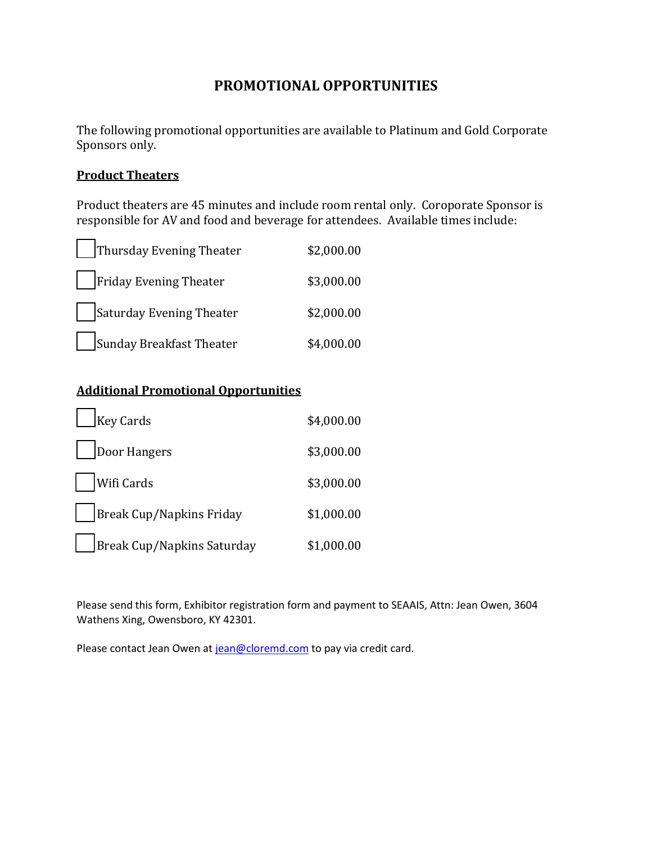# **PROMOTIONAL OPPORTUNITIES**

The following promotional opportunities are available to Platinum and Gold Corporate Sponsors only.

### **Product Theaters**

Product theaters are 45 minutes and include room rental only. Coroporate Sponsor is responsible for AV and food and beverage for attendees. Available times include:

| Thursday Evening Theater | \$2,000.00 |
|--------------------------|------------|
| Friday Evening Theater   | \$3,000.00 |
| Saturday Evening Theater | \$2,000.00 |
| Sunday Breakfast Theater | \$4,000.00 |

# **Additional Promotional Opportunities**

| <b>Key Cards</b>           | \$4,000.00 |
|----------------------------|------------|
| Door Hangers               | \$3,000.00 |
| Wifi Cards                 | \$3,000.00 |
| Break Cup/Napkins Friday   | \$1,000.00 |
| Break Cup/Napkins Saturday | \$1,000.00 |

Please send this form, Exhibitor registration form and payment to SEAAIS, Attn: Jean Owen, 3604 Wathens Xing, Owensboro, KY 42301.

Please contact Jean Owen at [jean@cloremd.com](mailto:jean@cloremd.com) to pay via credit card.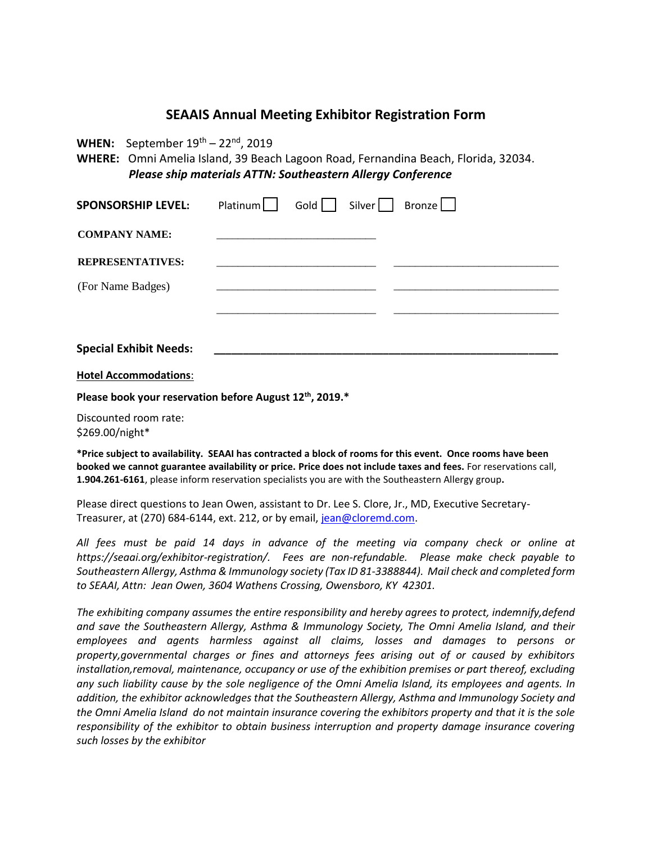### **SEAAIS Annual Meeting Exhibitor Registration Form**

**WHEN:** September  $19^{th}$  – 22<sup>nd</sup>, 2019

**WHERE:** Omni Amelia Island, 39 Beach Lagoon Road, Fernandina Beach, Florida, 32034.  *Please ship materials ATTN: Southeastern Allergy Conference* 

| <b>SPONSORSHIP LEVEL:</b>     | Platinum | Gold | Silver | Bronze |  |
|-------------------------------|----------|------|--------|--------|--|
| <b>COMPANY NAME:</b>          |          |      |        |        |  |
| <b>REPRESENTATIVES:</b>       |          |      |        |        |  |
| (For Name Badges)             |          |      |        |        |  |
|                               |          |      |        |        |  |
| <b>Special Exhibit Needs:</b> |          |      |        |        |  |

**Hotel Accommodations**:

**Please book your reservation before August 12th, 2019.\***

Discounted room rate: \$269.00/night\*

**\*Price subject to availability. SEAAI has contracted a block of rooms for this event. Once rooms have been booked we cannot guarantee availability or price. Price does not include taxes and fees.** For reservations call, **1.904.261-6161**, please inform reservation specialists you are with the Southeastern Allergy group**.** 

Please direct questions to Jean Owen, assistant to Dr. Lee S. Clore, Jr., MD, Executive Secretary-Treasurer, at (270) 684-6144, ext. 212, or by email[, jean@cloremd.com.](mailto:jean@cloremd.com)

*All fees must be paid 14 days in advance of the meeting via company check or online at https://seaai.org/exhibitor-registration/. Fees are non-refundable. Please make check payable to Southeastern Allergy, Asthma & Immunology society (Tax ID 81-3388844). Mail check and completed form to SEAAI, Attn: Jean Owen, 3604 Wathens Crossing, Owensboro, KY 42301.* 

*The exhibiting company assumes the entire responsibility and hereby agrees to protect, indemnify,defend and save the Southeastern Allergy, Asthma & Immunology Society, The Omni Amelia Island, and their employees and agents harmless against all claims, losses and damages to persons or property,governmental charges or fines and attorneys fees arising out of or caused by exhibitors installation,removal, maintenance, occupancy or use of the exhibition premises or part thereof, excluding any such liability cause by the sole negligence of the Omni Amelia Island, its employees and agents. In addition, the exhibitor acknowledges that the Southeastern Allergy, Asthma and Immunology Society and the Omni Amelia Island do not maintain insurance covering the exhibitors property and that it is the sole responsibility of the exhibitor to obtain business interruption and property damage insurance covering such losses by the exhibitor*